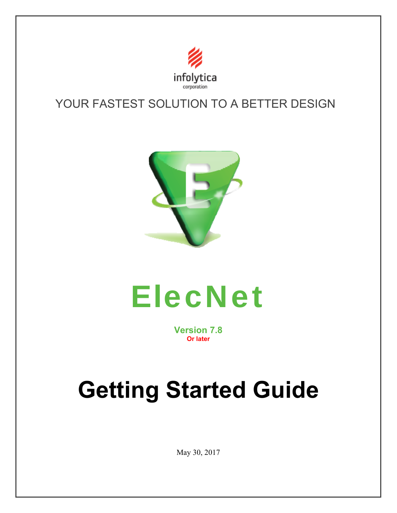

# YOUR FASTEST SOLUTION TO A BETTER DESIGN





**Version 7.8 Or later**

# **Getting Started Guide**

May 30, 2017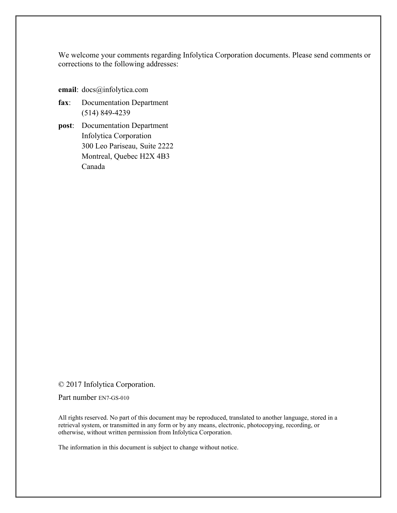We welcome your comments regarding Infolytica Corporation documents. Please send comments or corrections to the following addresses:

- **email**: docs@infolytica.com
- **fax**: Documentation Department (514) 849-4239
- **post**: Documentation Department Infolytica Corporation 300 Leo Pariseau, Suite 2222 Montreal, Quebec H2X 4B3 Canada

#### © 2017 Infolytica Corporation.

Part number EN7-GS-010

All rights reserved. No part of this document may be reproduced, translated to another language, stored in a retrieval system, or transmitted in any form or by any means, electronic, photocopying, recording, or otherwise, without written permission from Infolytica Corporation.

The information in this document is subject to change without notice.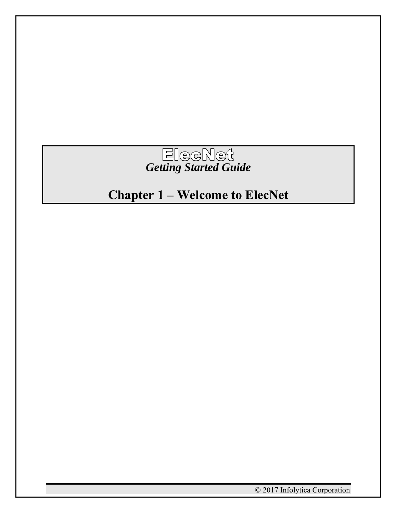

# **Chapter 1 – Welcome to ElecNet**

© 2017 Infolytica Corporation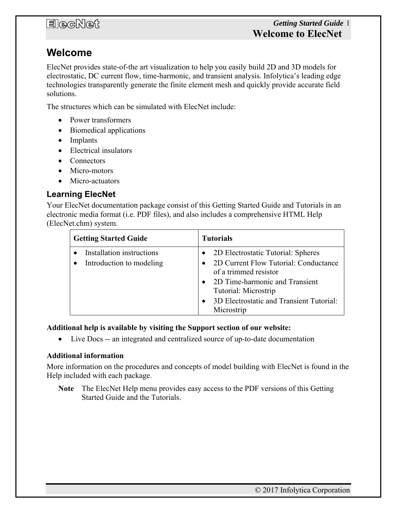### **Welcome**

ElecNet provides state-of-the art visualization to help you easily build 2D and 3D models for electrostatic, DC current flow, time-harmonic, and transient analysis. Infolytica's leading edge technologies transparently generate the finite element mesh and quickly provide accurate field solutions.

The structures which can be simulated with ElecNet include:

- Power transformers
- Biomedical applications
- Implants
- Electrical insulators
- Connectors
- Micro-motors
- Micro-actuators

### **Learning ElecNet**

Your ElecNet documentation package consist of this Getting Started Guide and Tutorials in an electronic media format (i.e. PDF files), and also includes a comprehensive HTML Help (ElecNet.chm) system.

| <b>Getting Started Guide</b>                          | <b>Tutorials</b>                                                                |
|-------------------------------------------------------|---------------------------------------------------------------------------------|
| Installation instructions<br>Introduction to modeling | • 2D Electrostatic Tutorial: Spheres<br>2D Current Flow Tutorial: Conductance   |
|                                                       | of a trimmed resistor<br>2D Time-harmonic and Transient<br>Tutorial: Microstrip |
|                                                       | 3D Electrostatic and Transient Tutorial:<br>Microstrip                          |

#### **Additional help is available by visiting the Support section of our website:**

Live Docs -- an integrated and centralized source of up-to-date documentation

#### **Additional information**

More information on the procedures and concepts of model building with ElecNet is found in the Help included with each package.

**Note** The ElecNet Help menu provides easy access to the PDF versions of this Getting Started Guide and the Tutorials.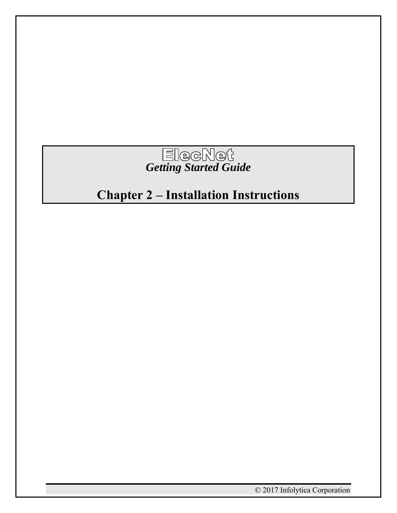

# **Chapter 2 – Installation Instructions**

© 2017 Infolytica Corporation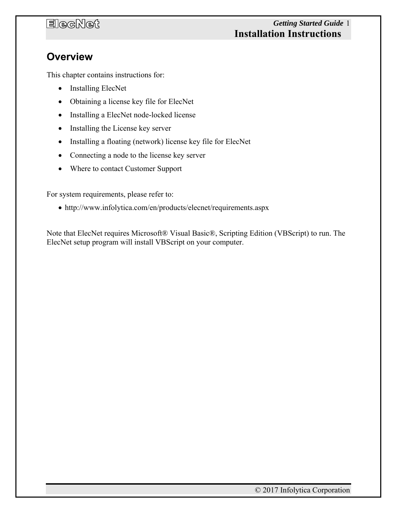### *Getting Started Guide* 1 **Installation Instructions**

### **Overview**

This chapter contains instructions for:

- Installing ElecNet
- Obtaining a license key file for ElecNet
- Installing a ElecNet node-locked license
- Installing the License key server
- Installing a floating (network) license key file for ElecNet
- Connecting a node to the license key server
- Where to contact Customer Support

For system requirements, please refer to:

http://www.infolytica.com/en/products/elecnet/requirements.aspx

Note that ElecNet requires Microsoft® Visual Basic®, Scripting Edition (VBScript) to run. The ElecNet setup program will install VBScript on your computer.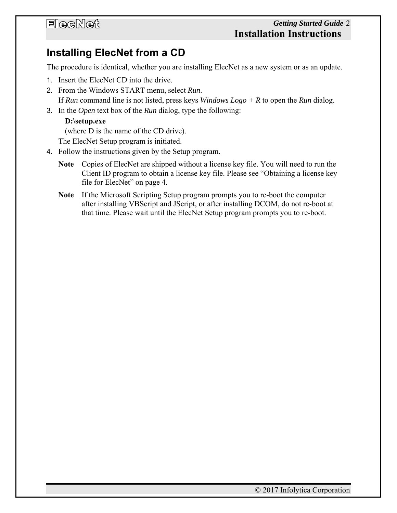### *Getting Started Guide* 2 **Installation Instructions**

### **Installing ElecNet from a CD**

The procedure is identical, whether you are installing ElecNet as a new system or as an update.

- 1. Insert the ElecNet CD into the drive.
- 2. From the Windows START menu, select *Run*. If *Run* command line is not listed, press keys *Windows Logo + R* to open the *Run* dialog.
- 3. In the *Open* text box of the *Run* dialog, type the following:

#### **D:\setup.exe**

(where D is the name of the CD drive).

The ElecNet Setup program is initiated.

- 4. Follow the instructions given by the Setup program.
	- **Note** Copies of ElecNet are shipped without a license key file. You will need to run the Client ID program to obtain a license key file. Please see "Obtaining a license key file for ElecNet" on page 4.
	- **Note** If the Microsoft Scripting Setup program prompts you to re-boot the computer after installing VBScript and JScript, or after installing DCOM, do not re-boot at that time. Please wait until the ElecNet Setup program prompts you to re-boot.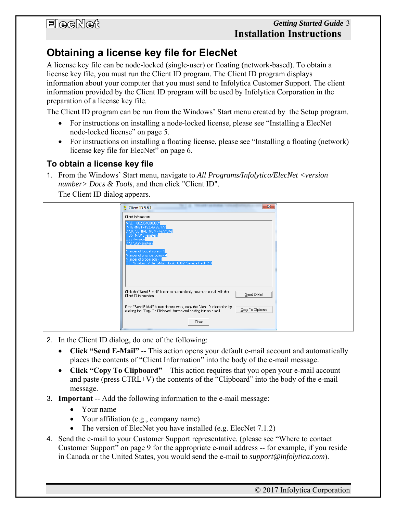### **Obtaining a license key file for ElecNet**

A license key file can be node-locked (single-user) or floating (network-based). To obtain a license key file, you must run the Client ID program. The Client ID program displays information about your computer that you must send to Infolytica Customer Support. The client information provided by the Client ID program will be used by Infolytica Corporation in the preparation of a license key file.

The Client ID program can be run from the Windows' Start menu created by the Setup program.

- For instructions on installing a node-locked license, please see "Installing a ElecNet node-locked license" on page 5.
- For instructions on installing a floating license, please see "Installing a floating (network) license key file for ElecNet" on page 6.

### **To obtain a license key file**

1. From the Windows' Start menu, navigate to *All Programs/Infolytica/ElecNet <version number> Docs & Tools*, and then click "Client ID".

The Client ID dialog appears.

| $-\mathbf{x}$<br>Client ID 5.6.1                                                                                                                                         |  |
|--------------------------------------------------------------------------------------------------------------------------------------------------------------------------|--|
| Client Information:                                                                                                                                                      |  |
| MAC="002354888888"<br>INTERNET=192.46.83.177<br>DISK_SERIAL_NUM=7e77f34e                                                                                                 |  |
| HOSTNAME=einstein<br>USER=serge<br>DISPLAY=einstein                                                                                                                      |  |
| Number of logical cores= 4<br>Number of physical cores= 4<br>Number of processors=1                                                                                      |  |
| 0S= Windows Vista (64-bit), Build: 6002, Service Pack 2.0                                                                                                                |  |
| Click the "Send E-Mail" button to automatically create an e-mail with the<br>Send E-Mail<br>Client ID information.                                                       |  |
| If the "Send E-Mail" button doesn't work, copy the Client ID information by<br>Copy To Clipboard<br>clicking the "Copy To Clipboard" button and pasting it in an e-mail. |  |
| Close                                                                                                                                                                    |  |

- 2. In the Client ID dialog, do one of the following:
	- **Click "Send E-Mail"** -- This action opens your default e-mail account and automatically places the contents of "Client Information" into the body of the e-mail message.
	- **Click "Copy To Clipboard"** This action requires that you open your e-mail account and paste (press CTRL+V) the contents of the "Clipboard" into the body of the e-mail message.
- 3. **Important** -- Add the following information to the e-mail message:
	- Your name
	- Your affiliation (e.g., company name)
	- The version of ElecNet you have installed (e.g. ElecNet 7.1.2)
- 4. Send the e-mail to your Customer Support representative. (please see "Where to contact Customer Support" on page 9 for the appropriate e-mail address -- for example, if you reside in Canada or the United States, you would send the e-mail to *support@infolytica.com*).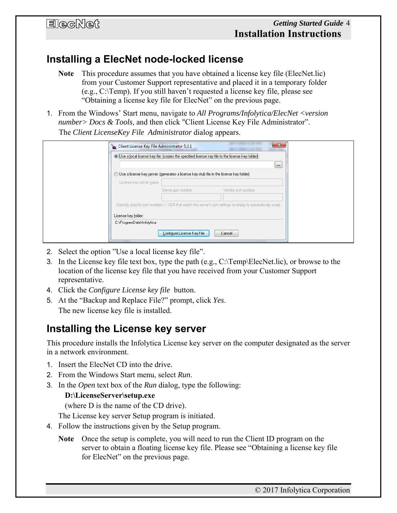### **Installing a ElecNet node-locked license**

- **Note** This procedure assumes that you have obtained a license key file (ElecNet.lic) from your Customer Support representative and placed it in a temporary folder (e.g., C:\Temp). If you still haven't requested a license key file, please see "Obtaining a license key file for ElecNet" on the previous page.
- 1. From the Windows' Start menu, navigate to *All Programs/Infolytica/ElecNet <version number> Docs & Tools*, and then click "Client License Key File Administrator". The *Client LicenseKey File Administrator* dialog appears.

| Client License Key File Administrator 5.3.1                                                                 | x        |
|-------------------------------------------------------------------------------------------------------------|----------|
| O Use a local license key file: (copies the specified license key file to the license key folder)           | $\cdots$ |
| Use a license key server: (generates a license key stub file in the license key folder)                     |          |
| License key server name:                                                                                    |          |
| Server port number:<br>Vendor port number:                                                                  |          |
| (Specify specific port numbers > 1024 that match the server's port settings or empty to automatically scan) |          |
| License key folder:                                                                                         |          |
| C:\ProgramData\Infolytica                                                                                   |          |
| Configure License Key File<br>Cancel                                                                        |          |

- 2. Select the option "Use a local license key file".
- 3. In the License key file text box, type the path (e.g., C:\Temp\ElecNet.lic), or browse to the location of the license key file that you have received from your Customer Support representative.
- 4. Click the *Configure License key file* button.
- 5. At the "Backup and Replace File?" prompt, click *Yes*. The new license key file is installed.

### **Installing the License key server**

This procedure installs the Infolytica License key server on the computer designated as the server in a network environment.

- 1. Insert the ElecNet CD into the drive.
- 2. From the Windows Start menu, select *Run*.
- 3. In the *Open* text box of the *Run* dialog, type the following:

#### **D:\LicenseServer\setup.exe**

(where D is the name of the CD drive).

The License key server Setup program is initiated.

- 4. Follow the instructions given by the Setup program.
	- **Note** Once the setup is complete, you will need to run the Client ID program on the server to obtain a floating license key file. Please see "Obtaining a license key file for ElecNet" on the previous page.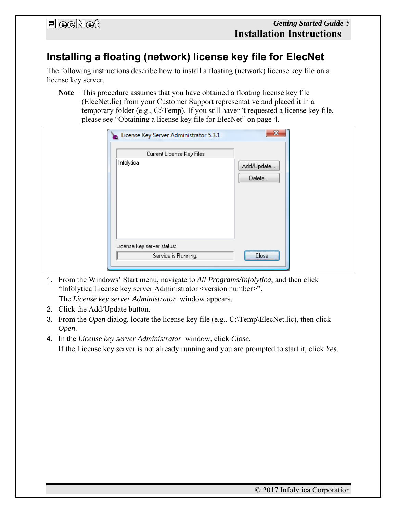### **Installing a floating (network) license key file for ElecNet**

The following instructions describe how to install a floating (network) license key file on a license key server.

**Note** This procedure assumes that you have obtained a floating license key file (ElecNet.lic) from your Customer Support representative and placed it in a temporary folder (e.g., C:\Temp). If you still haven't requested a license key file, please see "Obtaining a license key file for ElecNet" on page 4.

| License Key Server Administrator 5.3.1            | $\mathbf{x}$         |
|---------------------------------------------------|----------------------|
| Current License Key Files                         |                      |
| Infolytica                                        | Add/Update<br>Delete |
| License key server status:<br>Service is Running. | Close                |
|                                                   |                      |

1. From the Windows' Start menu, navigate to *All Programs/Infolytica*, and then click "Infolytica License key server Administrator <version number>".

The *License key server Administrator* window appears.

- 2. Click the Add/Update button.
- 3. From the *Open* dialog, locate the license key file (e.g., C:\Temp\ElecNet.lic), then click *Open*.
- 4. In the *License key server Administrator* window, click *Close*. If the License key server is not already running and you are prompted to start it, click *Yes*.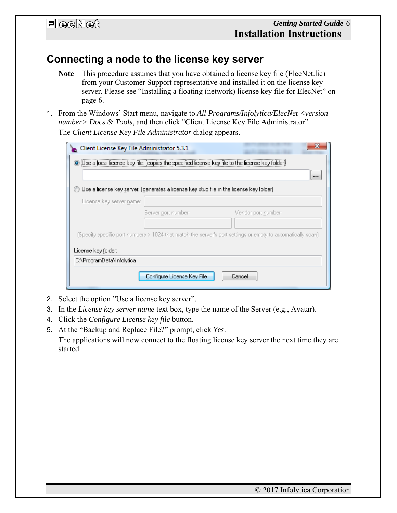### **Connecting a node to the license key server**

- **Note** This procedure assumes that you have obtained a license key file (ElecNet.lic) from your Customer Support representative and installed it on the license key server. Please see "Installing a floating (network) license key file for ElecNet" on page 6.
- 1. From the Windows' Start menu, navigate to *All Programs/Infolytica/ElecNet <version number> Docs & Tools*, and then click "Client License Key File Administrator". The *Client License Key File Administrator* dialog appears.

|                           |                                                                                                             | $\cdots$ |
|---------------------------|-------------------------------------------------------------------------------------------------------------|----------|
| $\circledcirc$            | Use a license key server: (generates a license key stub file in the license key folder).                    |          |
| License key server name:  |                                                                                                             |          |
|                           | Server port number:<br>Vendor port number:                                                                  |          |
|                           |                                                                                                             |          |
|                           | (Specify specific port numbers > 1024 that match the server's port settings or empty to automatically scan) |          |
| License key folder:       |                                                                                                             |          |
| C:\ProgramData\Infolytica |                                                                                                             |          |

- 2. Select the option "Use a license key server".
- 3. In the *License key server name* text box, type the name of the Server (e.g., Avatar).
- 4. Click the *Configure License key file* button.
- 5. At the "Backup and Replace File?" prompt, click *Yes*. The applications will now connect to the floating license key server the next time they are started.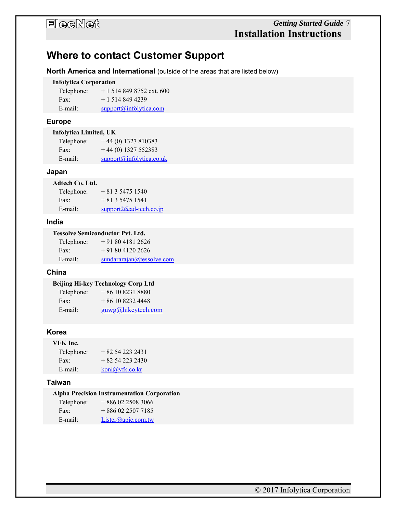### *Getting Started Guide* 7 **Installation Instructions**

### **Where to contact Customer Support**

**North America and International** (outside of the areas that are listed below)

#### **Infolytica Corporation**

| Telephone: | $+15148498752$ ext. 600     |
|------------|-----------------------------|
| Fax:       | $+15148494239$              |
| E-mail:    | $support(a)$ infolytica.com |

#### **Europe**

| Infolytica Limited, UK |  |
|------------------------|--|
|------------------------|--|

| Telephone: | $+44(0)$ 1327 810383     |
|------------|--------------------------|
| Fax:       | $+44(0)$ 1327 552383     |
| E-mail:    | support@infolytica.co.uk |

#### **Japan**

#### **Adtech Co. Ltd.**

| Telephone: | $+81354751540$             |
|------------|----------------------------|
| Fax:       | $+81354751541$             |
| E-mail:    | support $2$ @ad-tech.co.jp |

#### **India**

#### **Tessolve Semiconductor Pvt. Ltd.**

| Telephone: | $+918041812626$           |
|------------|---------------------------|
| Fax:       | $+918041202626$           |
| E-mail:    | sundararajan@tessolve.com |

#### **China**

#### **Beijing Hi-key Technology Corp Ltd**

| Telephone: | $+861082318880$       |
|------------|-----------------------|
| Fax:       | $+861082324448$       |
| E-mail:    | $g$ uwg@hikeytech.com |

#### **Korea**

### **VFK Inc.**

| Telephone: | $+82542232431$ |
|------------|----------------|
| Fax:       | $+82542232430$ |
| $E$ -mail: | koni@vfk.co.kr |

#### **Taiwan**

#### **Alpha Precision Instrumentation Corporation**

| Telephone: | $+8860225083066$   |
|------------|--------------------|
| Fax:       | $+8860225077185$   |
| $E$ -mail: | Lister@apic.com.tw |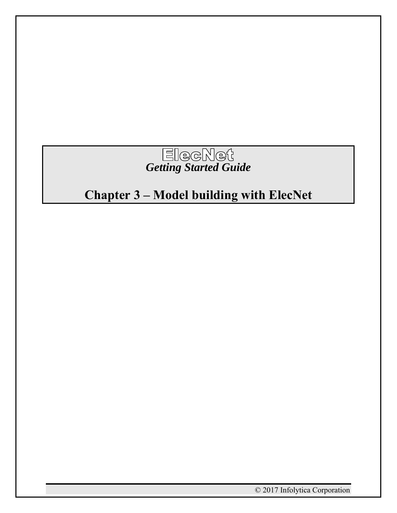

# **Chapter 3 – Model building with ElecNet**

© 2017 Infolytica Corporation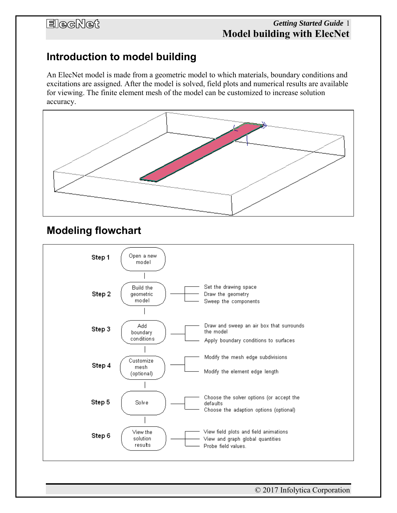### *Getting Started Guide* 1 **Model building with ElecNet**

### **Introduction to model building**

An ElecNet model is made from a geometric model to which materials, boundary conditions and excitations are assigned. After the model is solved, field plots and numerical results are available for viewing. The finite element mesh of the model can be customized to increase solution accuracy.



### **Modeling flowchart**

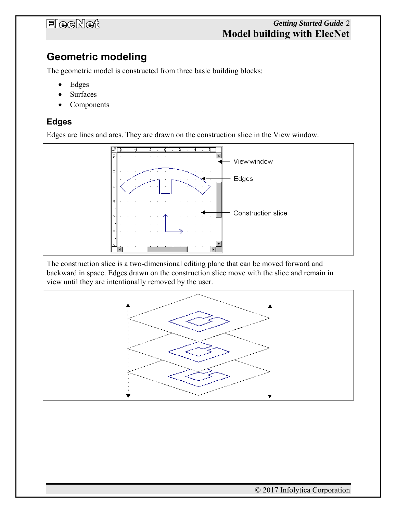### *Getting Started Guide* 2 **Model building with ElecNet**

### **Geometric modeling**

The geometric model is constructed from three basic building blocks:

- Edges
- Surfaces
- Components

#### **Edges**

Edges are lines and arcs. They are drawn on the construction slice in the View window.



The construction slice is a two-dimensional editing plane that can be moved forward and backward in space. Edges drawn on the construction slice move with the slice and remain in view until they are intentionally removed by the user.

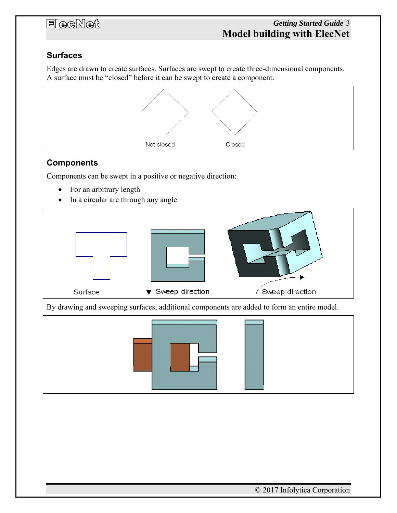### *Getting Started Guide* 3 **Model building with ElecNet**

### **Surfaces**

Edges are drawn to create surfaces. Surfaces are swept to create three-dimensional components. A surface must be "closed" before it can be swept to create a component.



#### **Components**

Components can be swept in a positive or negative direction:

- For an arbitrary length
- In a circular arc through any angle



By drawing and sweeping surfaces, additional components are added to form an entire model.

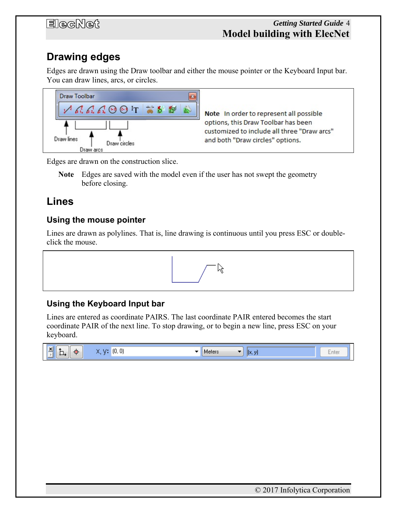### *Getting Started Guide* 4 **Model building with ElecNet**

# **Drawing edges**

Edges are drawn using the Draw toolbar and either the mouse pointer or the Keyboard Input bar. You can draw lines, arcs, or circles.



Note In order to represent all possible options, this Draw Toolbar has been customized to include all three "Draw arcs" and both "Draw circles" options.

Edges are drawn on the construction slice.

**Note** Edges are saved with the model even if the user has not swept the geometry before closing.

### **Lines**

### **Using the mouse pointer**

Lines are drawn as polylines. That is, line drawing is continuous until you press ESC or doubleclick the mouse.



### **Using the Keyboard Input bar**

Lines are entered as coordinate PAIRS. The last coordinate PAIR entered becomes the start coordinate PAIR of the next line. To stop drawing, or to begin a new line, press ESC on your keyboard.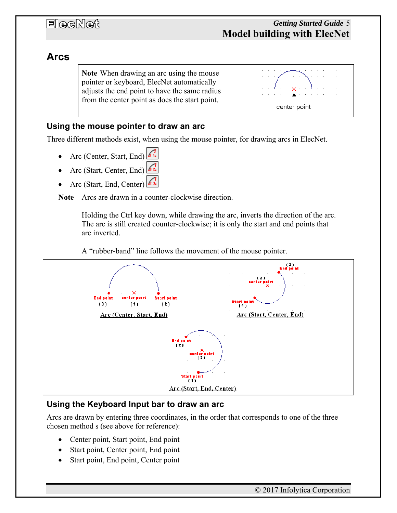### **Arcs**

**Note** When drawing an arc using the mouse pointer or keyboard, ElecNet automatically adjusts the end point to have the same radius from the center point as does the start point.



### **Using the mouse pointer to draw an arc**

Three different methods exist, when using the mouse pointer, for drawing arcs in ElecNet.

- Arc (Center, Start, End)
- Arc (Start, Center, End)
- Arc (Start, End, Center)

**Note** Arcs are drawn in a counter-clockwise direction.

Holding the Ctrl key down, while drawing the arc, inverts the direction of the arc. The arc is still created counter-clockwise; it is only the start and end points that are inverted.

A "rubber-band" line follows the movement of the mouse pointer.



#### **Using the Keyboard Input bar to draw an arc**

Arcs are drawn by entering three coordinates, in the order that corresponds to one of the three chosen method s (see above for reference):

- Center point, Start point, End point
- Start point, Center point, End point
- Start point, End point, Center point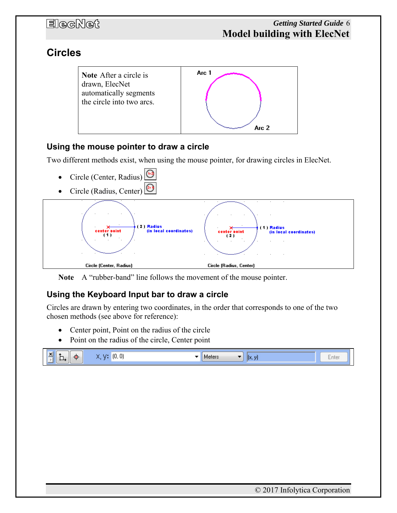### **Circles**



### **Using the mouse pointer to draw a circle**

Two different methods exist, when using the mouse pointer, for drawing circles in ElecNet.

- Circle (Center, Radius)
- Circle (Radius, Center)



**Note** A "rubber-band" line follows the movement of the mouse pointer.

### **Using the Keyboard Input bar to draw a circle**

Circles are drawn by entering two coordinates, in the order that corresponds to one of the two chosen methods (see above for reference):

- Center point, Point on the radius of the circle
- Point on the radius of the circle, Center point

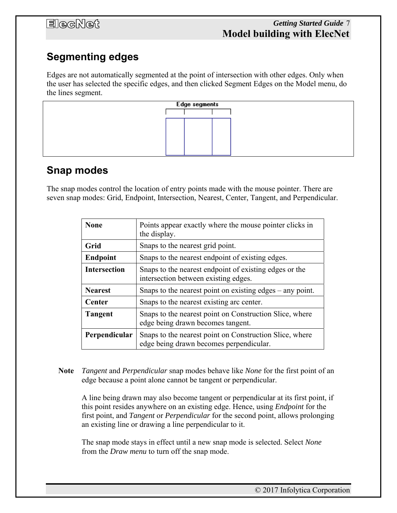# **Segmenting edges**

Edges are not automatically segmented at the point of intersection with other edges. Only when the user has selected the specific edges, and then clicked Segment Edges on the Model menu, do the lines segment.



### **Snap modes**

The snap modes control the location of entry points made with the mouse pointer. There are seven snap modes: Grid, Endpoint, Intersection, Nearest, Center, Tangent, and Perpendicular.

| <b>None</b>         | Points appear exactly where the mouse pointer clicks in<br>the display.                            |
|---------------------|----------------------------------------------------------------------------------------------------|
| Grid                | Snaps to the nearest grid point.                                                                   |
| <b>Endpoint</b>     | Snaps to the nearest endpoint of existing edges.                                                   |
| <b>Intersection</b> | Snaps to the nearest endpoint of existing edges or the<br>intersection between existing edges.     |
| <b>Nearest</b>      | Snaps to the nearest point on existing edges – any point.                                          |
| <b>Center</b>       | Snaps to the nearest existing arc center.                                                          |
| <b>Tangent</b>      | Snaps to the nearest point on Construction Slice, where<br>edge being drawn becomes tangent.       |
| Perpendicular       | Snaps to the nearest point on Construction Slice, where<br>edge being drawn becomes perpendicular. |

**Note** *Tangent* and *Perpendicular* snap modes behave like *None* for the first point of an edge because a point alone cannot be tangent or perpendicular.

A line being drawn may also become tangent or perpendicular at its first point, if this point resides anywhere on an existing edge. Hence, using *Endpoint* for the first point, and *Tangent* or *Perpendicular* for the second point, allows prolonging an existing line or drawing a line perpendicular to it.

The snap mode stays in effect until a new snap mode is selected. Select *None* from the *Draw menu* to turn off the snap mode.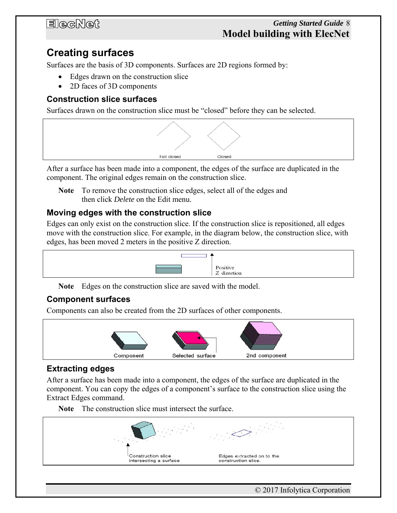### *Getting Started Guide* 8 **Model building with ElecNet**

### **Creating surfaces**

Surfaces are the basis of 3D components. Surfaces are 2D regions formed by:

- Edges drawn on the construction slice
- 2D faces of 3D components

### **Construction slice surfaces**

Surfaces drawn on the construction slice must be "closed" before they can be selected.



After a surface has been made into a component, the edges of the surface are duplicated in the component. The original edges remain on the construction slice.

**Note** To remove the construction slice edges, select all of the edges and then click *Delete* on the Edit menu.

#### **Moving edges with the construction slice**

Edges can only exist on the construction slice. If the construction slice is repositioned, all edges move with the construction slice. For example, in the diagram below, the construction slice, with edges, has been moved 2 meters in the positive Z direction.



**Note** Edges on the construction slice are saved with the model.

#### **Component surfaces**

Components can also be created from the 2D surfaces of other components.



### **Extracting edges**

After a surface has been made into a component, the edges of the surface are duplicated in the component. You can copy the edges of a component's surface to the construction slice using the Extract Edges command.

**Note** The construction slice must intersect the surface.

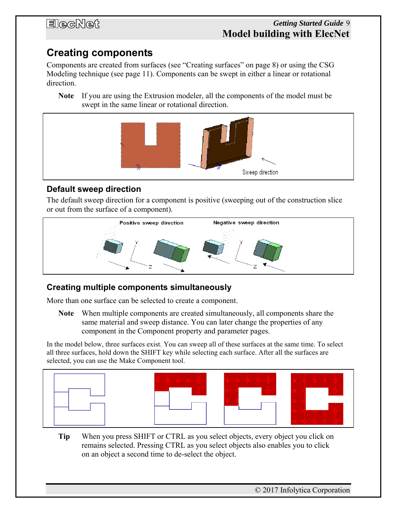### *Getting Started Guide* 9 **Model building with ElecNet**

### **Creating components**

Components are created from surfaces (see "Creating surfaces" on page 8) or using the CSG Modeling technique (see page 11). Components can be swept in either a linear or rotational direction.

**Note** If you are using the Extrusion modeler, all the components of the model must be swept in the same linear or rotational direction.



### **Default sweep direction**

The default sweep direction for a component is positive (sweeping out of the construction slice or out from the surface of a component).



### **Creating multiple components simultaneously**

More than one surface can be selected to create a component.

**Note** When multiple components are created simultaneously, all components share the same material and sweep distance. You can later change the properties of any component in the Component property and parameter pages.

In the model below, three surfaces exist. You can sweep all of these surfaces at the same time. To select all three surfaces, hold down the SHIFT key while selecting each surface. After all the surfaces are selected, you can use the Make Component tool.





**Tip** When you press SHIFT or CTRL as you select objects, every object you click on remains selected. Pressing CTRL as you select objects also enables you to click on an object a second time to de-select the object.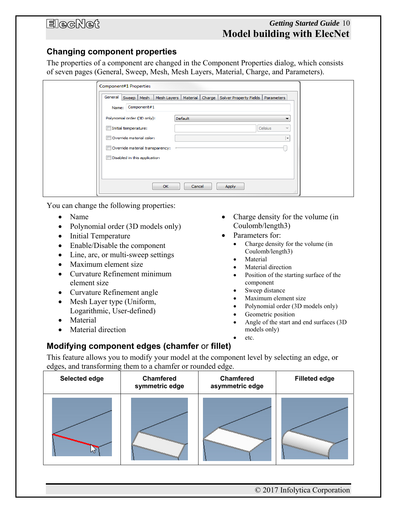#### **Changing component properties**

The properties of a component are changed in the Component Properties dialog, which consists of seven pages (General, Sweep, Mesh, Mesh Layers, Material, Charge, and Parameters).

| Name: Component#1<br>Polynomial order (3D only):<br>Default<br>Initial temperature:<br>Celsius<br>÷<br>Override material color:<br>٠<br>Override material transparency:<br>Disabled in this application | General Sweep Mesh   Mesh Layers   Material   Charge   Solver Property Fields |              |       | Parameters |  |
|---------------------------------------------------------------------------------------------------------------------------------------------------------------------------------------------------------|-------------------------------------------------------------------------------|--------------|-------|------------|--|
|                                                                                                                                                                                                         |                                                                               |              |       |            |  |
|                                                                                                                                                                                                         |                                                                               |              |       |            |  |
|                                                                                                                                                                                                         |                                                                               |              |       |            |  |
|                                                                                                                                                                                                         |                                                                               |              |       |            |  |
|                                                                                                                                                                                                         |                                                                               |              |       |            |  |
|                                                                                                                                                                                                         |                                                                               |              |       |            |  |
|                                                                                                                                                                                                         |                                                                               |              |       |            |  |
|                                                                                                                                                                                                         |                                                                               | OK<br>Cancel | Apply |            |  |

You can change the following properties:

- Name
- Polynomial order (3D models only)
- Initial Temperature
- Enable/Disable the component
- Line, arc, or multi-sweep settings
- Maximum element size
- Curvature Refinement minimum element size
- Curvature Refinement angle
- Mesh Layer type (Uniform, Logarithmic, User-defined)
- Material
- Material direction
- Charge density for the volume (in Coulomb/length3)
- Parameters for:
	- Charge density for the volume (in Coulomb/length3)
	- Material
	- Material direction
	- Position of the starting surface of the component
	- Sweep distance
	- Maximum element size
	- Polynomial order (3D models only)
	- Geometric position
	- Angle of the start and end surfaces (3D models only)
		- etc.

### **Modifying component edges (chamfer** or **fillet)**

This feature allows you to modify your model at the component level by selecting an edge, or edges, and transforming them to a chamfer or rounded edge.

| Selected edge | Chamfered<br>symmetric edge | Chamfered<br>asymmetric edge | <b>Filleted edge</b> |
|---------------|-----------------------------|------------------------------|----------------------|
|               |                             |                              |                      |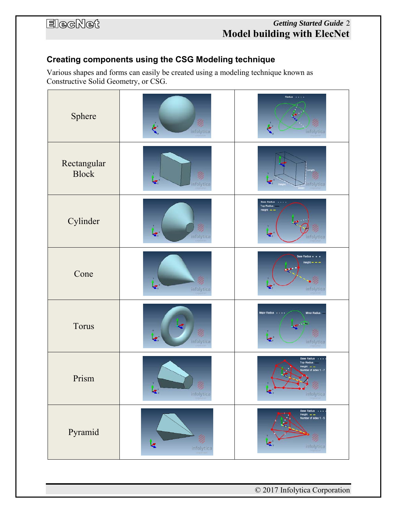### *Getting Started Guide* 2 **Model building with ElecNet**

### **Creating components using the CSG Modeling technique**

Various shapes and forms can easily be created using a modeling technique known as Constructive Solid Geometry, or CSG.

| Sphere                      | Ø<br>₹<br>infolytica                        | Radius<br>infolytica                                                                      |
|-----------------------------|---------------------------------------------|-------------------------------------------------------------------------------------------|
| Rectangular<br><b>Block</b> | Ž<br>Ł,<br>infolytica                       | ₹.<br>infolytica                                                                          |
| Cylinder                    | 乲<br>¢.<br>infolytica                       | <b>Base Radius</b><br><b>Top Radius</b><br>Height $ -$<br>ď.<br>infolytica                |
| Cone                        | ₹<br>infolytica                             | Base Radius .<br>$Height - -$<br>×.<br>infolytica                                         |
| Torus                       | Z.<br>infolytica                            | <b>Major Radius</b><br>Minor Radius<br>k.<br>infolytica                                   |
| Prism                       | $\blacktriangleleft^{\prime}$<br>infolytica | <b>Base Radius</b><br><b>Top Radius</b><br>oht.<br>$-$<br>er of sides 1 - 7<br>infolytica |
| Pyramid                     | Ø<br>یجا<br>infolytica                      | Base Radius · ·<br>Height = =<br>Number of sides 1 - 5<br>infolytica                      |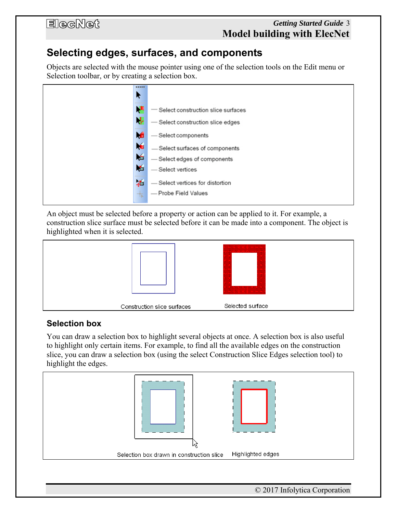### *Getting Started Guide* 3 **Model building with ElecNet**

### **Selecting edges, surfaces, and components**

Objects are selected with the mouse pointer using one of the selection tools on the Edit menu or Selection toolbar, or by creating a selection box.



An object must be selected before a property or action can be applied to it. For example, a construction slice surface must be selected before it can be made into a component. The object is highlighted when it is selected.



### **Selection box**

You can draw a selection box to highlight several objects at once. A selection box is also useful to highlight only certain items. For example, to find all the available edges on the construction slice, you can draw a selection box (using the select Construction Slice Edges selection tool) to highlight the edges.

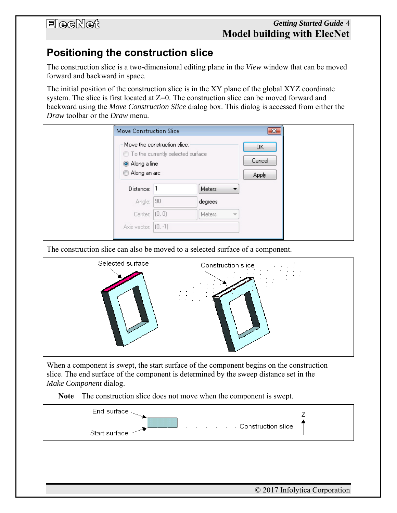#### *Getting Started Guide* 4 **Model building with ElecNet**

### **Positioning the construction slice**

The construction slice is a two-dimensional editing plane in the *View* window that can be moved forward and backward in space.

The initial position of the construction slice is in the XY plane of the global XYZ coordinate system. The slice is first located at  $Z=0$ . The construction slice can be moved forward and backward using the *Move Construction Slice* dialog box. This dialog is accessed from either the *Draw* toolbar or the *Draw* menu.

|                              | Move Construction Slice<br>$-23$                                    |                                           |  |  |  |
|------------------------------|---------------------------------------------------------------------|-------------------------------------------|--|--|--|
| Along a line<br>Along an arc | Move the construction slice:<br>◯ To the currently selected surface | 0K<br>Cancel<br><b>Apply</b>              |  |  |  |
| Distance:                    | -1                                                                  | Meters<br>▼                               |  |  |  |
| Angle:                       | 90                                                                  | degrees                                   |  |  |  |
| Center: (0, 0)               |                                                                     | <b>Meters</b><br>$\overline{\phantom{a}}$ |  |  |  |
| Axis vector: (0, -1)         |                                                                     |                                           |  |  |  |

The construction slice can also be moved to a selected surface of a component.



When a component is swept, the start surface of the component begins on the construction slice. The end surface of the component is determined by the sweep distance set in the *Make Component* dialog.

#### **Note** The construction slice does not move when the component is swept.

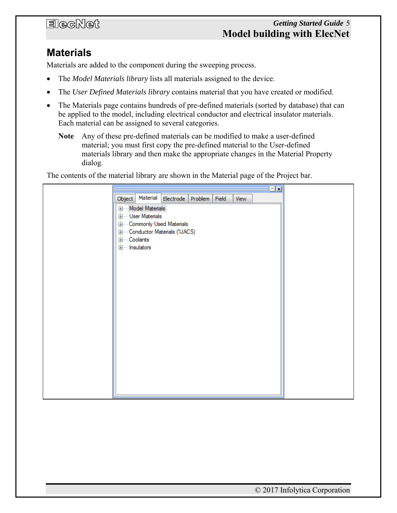### *Getting Started Guide* 5 **Model building with ElecNet**

### **Materials**

Materials are added to the component during the sweeping process.

- The *Model Materials library* lists all materials assigned to the device.
- The *User Defined Materials library* contains material that you have created or modified.
- The Materials page contains hundreds of pre-defined materials (sorted by database) that can be applied to the model, including electrical conductor and electrical insulator materials. Each material can be assigned to several categories.
	- **Note** Any of these pre-defined materials can be modified to make a user-defined material; you must first copy the pre-defined material to the User-defined materials library and then make the appropriate changes in the Material Property dialog.

The contents of the material library are shown in the Material page of the Project bar.

|                                         |  |      | 回因 |
|-----------------------------------------|--|------|----|
| Object Material Electrode Problem Field |  | View |    |
| <b>E</b> -Model Materials               |  |      |    |
| <b>Election</b> User Materials          |  |      |    |
| <b>Em-Commonly Used Materials</b>       |  |      |    |
| Conductor Materials (%IACS)             |  |      |    |
| E-Coolants                              |  |      |    |
| insulators                              |  |      |    |
|                                         |  |      |    |
|                                         |  |      |    |
|                                         |  |      |    |
|                                         |  |      |    |
|                                         |  |      |    |
|                                         |  |      |    |
|                                         |  |      |    |
|                                         |  |      |    |
|                                         |  |      |    |
|                                         |  |      |    |
|                                         |  |      |    |
|                                         |  |      |    |
|                                         |  |      |    |
|                                         |  |      |    |
|                                         |  |      |    |
|                                         |  |      |    |
|                                         |  |      |    |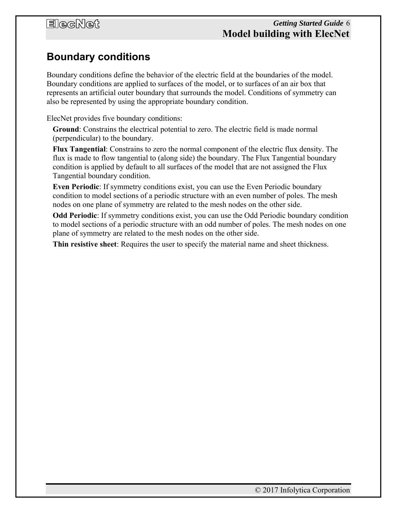### *Getting Started Guide* 6 **Model building with ElecNet**

### **Boundary conditions**

Boundary conditions define the behavior of the electric field at the boundaries of the model. Boundary conditions are applied to surfaces of the model, or to surfaces of an air box that represents an artificial outer boundary that surrounds the model. Conditions of symmetry can also be represented by using the appropriate boundary condition.

ElecNet provides five boundary conditions:

**Ground**: Constrains the electrical potential to zero. The electric field is made normal (perpendicular) to the boundary.

**Flux Tangential**: Constrains to zero the normal component of the electric flux density. The flux is made to flow tangential to (along side) the boundary. The Flux Tangential boundary condition is applied by default to all surfaces of the model that are not assigned the Flux Tangential boundary condition.

**Even Periodic**: If symmetry conditions exist, you can use the Even Periodic boundary condition to model sections of a periodic structure with an even number of poles. The mesh nodes on one plane of symmetry are related to the mesh nodes on the other side.

**Odd Periodic**: If symmetry conditions exist, you can use the Odd Periodic boundary condition to model sections of a periodic structure with an odd number of poles. The mesh nodes on one plane of symmetry are related to the mesh nodes on the other side.

**Thin resistive sheet**: Requires the user to specify the material name and sheet thickness.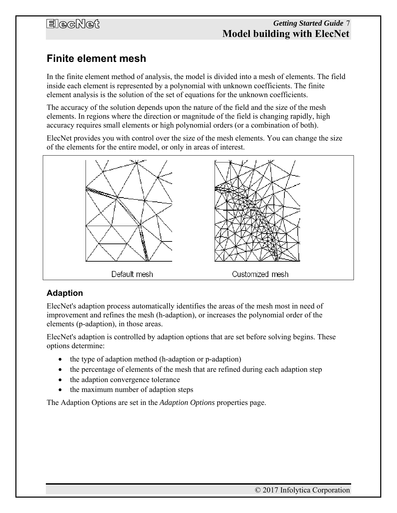### **Finite element mesh**

In the finite element method of analysis, the model is divided into a mesh of elements. The field inside each element is represented by a polynomial with unknown coefficients. The finite element analysis is the solution of the set of equations for the unknown coefficients.

The accuracy of the solution depends upon the nature of the field and the size of the mesh elements. In regions where the direction or magnitude of the field is changing rapidly, high accuracy requires small elements or high polynomial orders (or a combination of both).

ElecNet provides you with control over the size of the mesh elements. You can change the size of the elements for the entire model, or only in areas of interest.



### **Adaption**

ElecNet's adaption process automatically identifies the areas of the mesh most in need of improvement and refines the mesh (h-adaption), or increases the polynomial order of the elements (p-adaption), in those areas.

ElecNet's adaption is controlled by adaption options that are set before solving begins. These options determine:

- the type of adaption method (h-adaption or p-adaption)
- the percentage of elements of the mesh that are refined during each adaption step
- the adaption convergence tolerance
- the maximum number of adaption steps

The Adaption Options are set in the *Adaption Options* properties page.